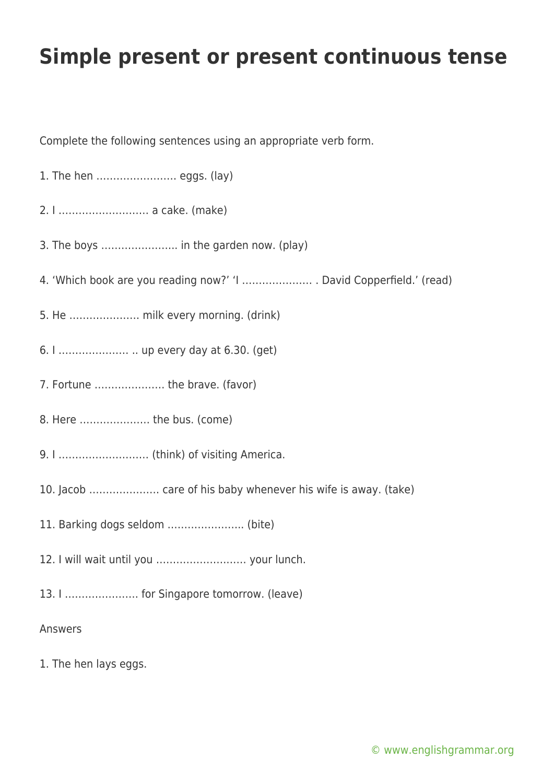## **Simple present or present continuous tense**

Complete the following sentences using an appropriate verb form.

- 1. The hen …………………… eggs. (lay)
- 2. I ……………………… a cake. (make)
- 3. The boys ………………….. in the garden now. (play)
- 4. 'Which book are you reading now?' 'I ………………… . David Copperfield.' (read)
- 5. He ………………… milk every morning. (drink)
- 6. I ………………… .. up every day at 6.30. (get)
- 7. Fortune ………………… the brave. (favor)
- 8. Here ………………… the bus. (come)
- 9. I ……………………… (think) of visiting America.
- 10. Jacob ………………… care of his baby whenever his wife is away. (take)
- 11. Barking dogs seldom ………………….. (bite)
- 12. I will wait until you ……………………… your lunch.
- 13. I …………………. for Singapore tomorrow. (leave)

## Answers

1. The hen lays eggs.